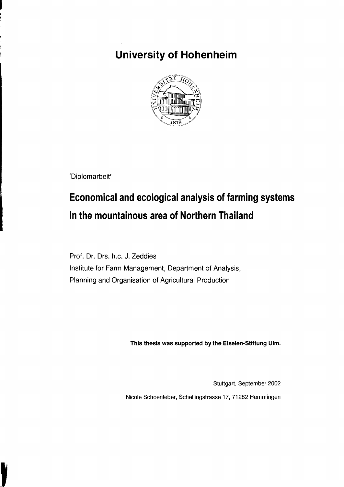## **University of Hohenheim**



'Diplomarbeit'

## **Economical and ecological analysis of farming systems in the mountainous area of Northern Thailand**

Prof. Dr. Drs. h.c. J. Zeddies Institute for Farm Management, Department of Analysis, Planning and Organisation of Agricultural Production

This thesis was supported by the Eiselen-Stiftung lIlm.

Stuttgart, September 2002

Nicole Schoenleber, Schellingstrasse 17, 71282 Hemmingen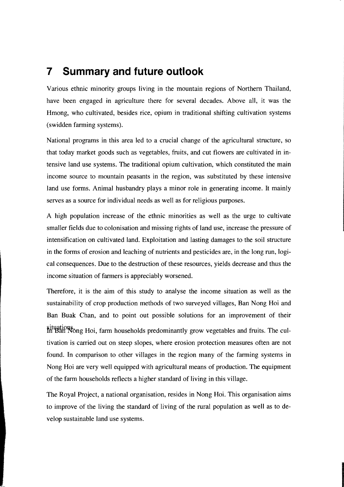## **7 Summary and future outlook**

Various ethnic minority groups living in the mountain regions of Northern Thailand, have been engaged in agriculture there for several decades. Above all, it was the Hmong, who cultivated, besides rice, opium in traditional shifting cultivation systems (swidden farming systems).

National programs in this area led to a crucial change of the agricultural structure, so that today market goods such as vegetables, fruits, and cut flowers are cultivated in intensive land use systems. The traditional opium cultivation, which constituted the main income source to mountain peasants in the region, was substituted by these intensive land use forms. Animal husbandry plays a minor role in generating income. It mainly serves as a source for individual needs as well as for religious purposes.

A high population increase of the ethnic minorities as weIl as the urge to cultivate smaller fields due to colonisation and missing rights of land use, increase the pressure of intensification on cultivated land. Exploitation and lasting damages to the soil structure in the forms of erosion and leaching of nutrients and pesticides are, in the long run, logical consequences. Due to the destruction of these resources, yields decrease and thus the income situation of farmers is appreciably worsened.

Therefore, it is the aim of this study to analyse the income situation as weIl as the sustainability of crop production methods of two surveyed villages, Ban Nong Hoi and Ban Buak Chan, and to point out possible solutions for an improvement of their situations Hoi, farm households predominantly grow vegetables and fruits. The cultivation is carried out on steep slopes, where erosion protection measures often are not found. **In** comparison to other villages in the region many of the farming systems in Nong Hoi are very weIl equipped with agricultural means of production. The equipment of the farm households reflects a higher standard of living in this village.

The Royal Project, a national organisation, resides in Nong Hoi. This organisation aims to improve of the living the standard of living of the rural population as well as to develop sustainable land use systems.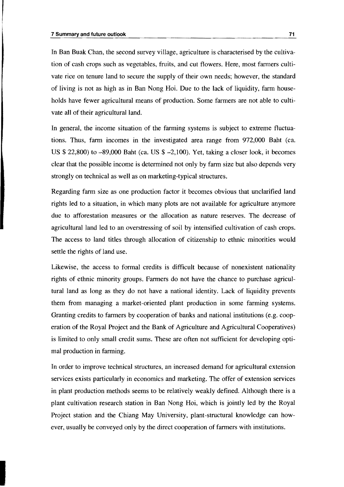In Ban Buak Chan, the second survey village, agriculture is characterised by the cultivation of cash crops such as vegetables, fruits, and cut flowers. Here, most farmers cultivate rice on tenure land to secure the supply of their own needs; however, the standard of living is not as high as in Ban Nong Hoi. Due to the lack of liquidity, farm households have fewer agricultural means of production. Some farmers are not able to cultivate all of their agricultural land.

In general, the income situation of the farming systems is subject to extreme fluctuations. Thus, farm incomes in the investigated area range from 972,000 Baht (ca. US \$ 22,800) to -89,000 Baht (ca. US \$ -2.100). Yet, taking a c10ser look, it becomes clear that the possible income is determined not only by farm size but also depends very strongly on technical as well as on marketing-typical structures.

Regarding farm size as one production factor it becomes obvious that unclarified land rights led to a situation, in which many plots are not available for agriculture anymore due to afforestation measures or the allocation as nature reserves. The decrease of agricultural land led to an overstressing of soil by intensified cultivation of cash crops. The access to land titles through allocation of citizenship to ethnic minorities would settle the rights of land use.

Likewise, the access to formal credits is difficult because of nonexistent nationality rights of ethnic minority groups. Farmers do not have the chance to purchase agricultural land as long as they do not have anational identity. Lack of liquidity prevents them from managing a market-oriented plant production in some farming systems. Granting credits to farmers by cooperation of banks and national institutions (e.g. cooperation of the Royal Project and the Bank of Agriculture and Agricultural Cooperatives) is limited to only small credit sums. These are often not sufficient for developing optimal production in farming.

In order to improve technical structures, an increased demand for agricultural extension services exists particularly in economics and marketing. The offer of extension services in plant production methods seems to be relatively weakly defined. Although there is a plant cultivation research station in Ban Nong Hoi, which is jointly led by the Royal Project station and the Chiang May University, plant-structural knowledge can however, usually be conveyed only by the direct cooperation of farmers with institutions.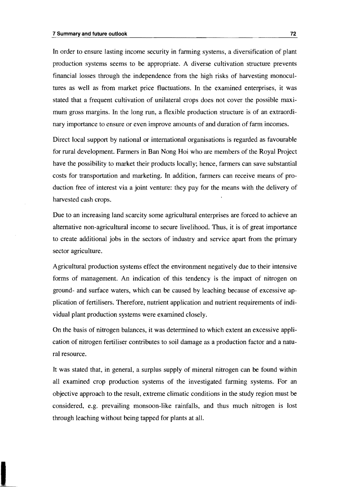In order to ensure lasting income security in farming systems, a diversification of plant production systems seems to be appropriate. A diverse cultivation structure prevents financial losses through the independence from the high risks of harvesting monocultures as well as from market price fluctuations. In the examined enterprises, it was stated that a frequent cultivation of unilateral crops does not cover the possible maximum gross margins. In the long run, a flexible production structure is of an extraordinary importance to ensure or even improve amounts of and duration of farm incomes.

Direct local support by national or international organisations is regarded as favourable for rural development. Farmers in Ban Nong Hoi who are members of the Royal Project have the possibility to market their products locally; hence, farmers can save substantial costs for transportation and marketing. In addition, farmers can receive means of production free of interest via a joint venture: they pay for the means with the delivery of harvested cash crops.

Due to an increasing land scarcity some agricultural enterprises are forced to achieve an alternative non-agricultural income to secure livelihood. Thus, it is of great importance to create additional jobs in the sectors of industry and service apart from the primary sector agriculture.

Agricultural production systems effect the environment negatively due to their intensive forms of management. An indication of this tendency is the impact of nitrogen on ground- and surface waters, which can be caused by leaching because of excessive application of fertilisers. Therefore, nutrient application and nutrient requirements of individual plant production systems were examined closely.

On the basis of nitrogen balances, it was determined to which extent an excessive application of nitrogen fertiliser contributes to soil damage as a production factor and a natural resource.

It was stated that, in general, a surplus supply of mineral nitrogen can be found within all examined crop production systems of the investigated farming systems. For an objective approach to the result, extreme climatic conditions in the study region must be considered, e.g. prevailing monsoon-like rainfalls, and thus much nitrogen is lost through leaching without being tapped for plants at all.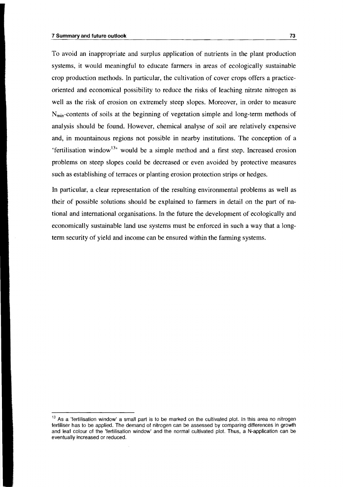To avoid an inappropriate and surplus application of nutrients in the plant production systems, it would meaningful to educate farmers in areas of ecologically sustainable crop production methods. In particular, the cultivation of cover crops offers a practiceoriented and economical possibility to reduce the risks of leaching nitrate nitrogen as well as the risk of erosion on extremely steep slopes. Moreover, in order to measure  $N_{\text{min}}$ -contents of soils at the beginning of vegetation simple and long-term methods of analysis should be found. However, chemical analyse of soil are relatively expensive and, in mountainous regions not possible in nearby institutions. The conception of a 'fertilisation window<sup>13,</sup> would be a simple method and a first step. Increased erosion problems on steep slopes could be decreased or even avoided by protective measures such as establishing of terraces or planting erosion protection strips or hedges.

In particular, a clear representation of the resulting environmental problems as well as their of possible solutions should be explained to farmers in detail on the part of national and international organisations. In the future the development of ecologically and economically sustainable land use systems must be enforced in such a way that a longterm security of yield and income can be ensured within the farming systems.

<sup>&</sup>lt;sup>13</sup> As a 'fertilisation window' a small part is to be marked on the cultivated plot. In this area no nitrogen fertiliser has to be applied. The demand of nitrogen can be assessed by comparing differences in growth and leaf colour of the 'fertilisation window' and the normal cultivated plot. Thus, a N-application can be eventually increased or reduced.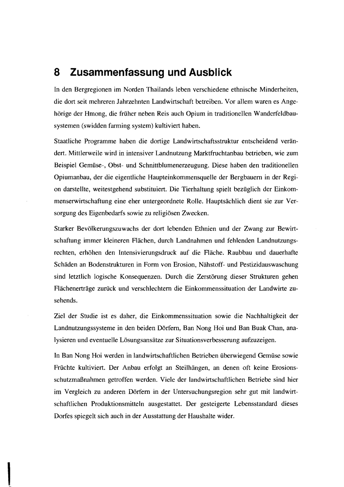## **8 Zusammenfassung und Ausblick**

In den Bergregionen im Norden Thailands leben verschiedene ethnische Minderheiten, die dort seit mehreren Jahrzehnten Landwirtschaft betreiben. Vor allem waren es Angehörige der Hmong, die früher neben Reis auch Opium in traditionellen Wanderfe1dbausystemen (swidden farming system) kultiviert haben.

Staatliche Programme haben die dortige Landwirtschaftsstruktur entscheidend verändert. Mittlerweile wird in intensiver Landnutzung Marktfruchtanbau betrieben, wie zum Beispiel Gemüse-, Obst- und Schnittblumenerzeugung. Diese haben den traditionellen Opiumanbau, der die eigentliche Haupteinkommensquelle der Bergbauern in der Region darstellte, weitestgehend substituiert. Die Tierhaltung spielt bezüglich der Einkommenserwirtschaftung eine eher untergeordnete Rolle. Hauptsächlich dient sie zur Versorgung des Eigenbedarfs sowie zu religiösen Zwecken.

Starker Bevölkerungszuwachs der dort lebenden Ethnien und der Zwang zur Bewirtschaftung immer kleineren Flächen, durch Landnahmen und fehlenden Landnutzungsrechten, erhöhen den Intensivierungsdruck auf die Fläche. Raubbau und dauerhafte Schäden an Bodenstrukturen in Form von Erosion, Nähstoff- und Pestizidauswaschung sind letztlich logische Konsequenzen. Durch die Zerstörung dieser Strukturen gehen Flächenerträge zurück und verschlechtern die Einkommenssituation der Landwirte zusehends.

Ziel der Studie ist es daher, die Einkommenssituation sowie die Nachhaltigkeit der Landnutzungssysteme in den beiden Dörfern, Ban Nong Hoi und Ban Buak Chan, analysieren und eventuelle Lösungsansätze zur Situationsverbesserung aufzuzeigen.

In Ban Nong Hoi werden in landwirtschaftlichen Betrieben überwiegend Gemüse sowie Früchte kultiviert. Der Anbau erfolgt an Steilhängen, an denen oft keine Erosionsschutzmaßnahmen getroffen werden. Viele der landwirtschaftlichen Betriebe sind hier im Vergleich zu anderen Dörfern in der Untersuchungsregion sehr gut mit landwirtschaftlichen Produktionsmitteln ausgestattet. Der gesteigerte Lebensstandard dieses Dorfes spiegelt sich auch in der Ausstattung der Haushalte wider.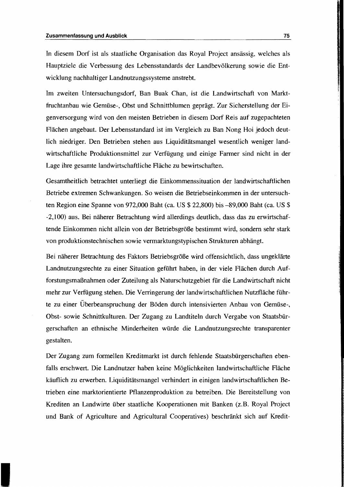In diesem Dorf ist als staatliche Organisation das Royal Project ansässig, welches als Hauptziele die Verbessung des Lebensstandards der Landbevölkerung sowie die Entwicklung nachhaltiger Landnutzungssysteme anstrebt.

Im zweiten Untersuchungsdorf, Ban Buak Chan, ist die Landwirtschaft von Marktfruchtanbau wie Gemüse-, Obst und Schnittblumen geprägt. Zur Sicherstellung der Eigenversorgung wird von den meisten Betrieben in diesem Dorf Reis auf zugepachteten Flächen angebaut. Der Lebensstandard ist im Vergleich zu Ban Nong Hoi jedoch deutlich niedriger. Den Betrieben stehen aus Liquiditätsmangel wesentlich weniger landwirtschaftliche Produktionsmittel zur Verfügung und einige Farmer sind nicht in der Lage ihre gesamte landwirtschaftliche Fläche zu bewirtschaften.

Gesamtheitlich betrachtet unterliegt die Einkommenssituation der landwirtschaftlichen Betriebe extremen Schwankungen. So weisen die Betriebseinkommen in der untersuchten Region eine Spanne von 972,000 Baht (ca. US \$ 22,800) bis -89,000 Baht (ca. US \$ -2,100) aus. Bei näherer Betrachtung wird allerdings deutlich, dass das zu erwirtschaftende Einkommen nicht al1ein von der Betriebsgröße bestimmt wird, sondern sehr stark von produktionstechnischen sowie vermarktungstypischen Strukturen abhängt.

Bei näherer Betrachtung des Faktors Betriebsgröße wird offensichtlich, dass ungeklärte Landnutzungsrechte zu einer Situation geführt haben, in der viele Flächen durch Aufforstungsmaßnahmen oder Zuteilung als Naturschutzgebiet für die Landwirtschaft nicht mehr zur Verfügung stehen. Die Verringerung der landwirtschaftlichen Nutzfläche führte zu einer Überbeanspruchung der Böden durch intensivierten Anbau von Gemüse-, Obst- sowie Schnittkulturen. Der Zugang zu Landtiteln durch Vergabe von Staatsbürgerschaften an ethnische Minderheiten würde die Landnutzungsrechte transparenter gestalten.

Der Zugang zum formellen Kreditmarkt ist durch fehlende Staatsbürgerschaften ebenfalls erschwert. Die Landnutzer haben keine Möglichkeiten landwirtschaftliche Fläche käuflich zu erwerben. Liquiditätsmangel verhindert in einigen landwirtschaftlichen Betrieben eine marktorientierte Pflanzenproduktion zu betreiben. Die Bereitstellung von Krediten an Landwirte über staatliche Kooperationen mit Banken (z.B. Royal Project und Bank of Agriculture and Agricultural Cooperatives) beschränkt sich auf Kredit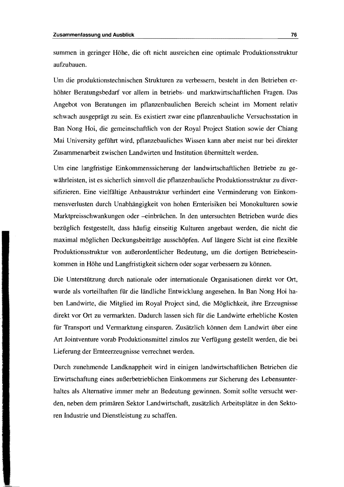summen in geringer Höhe, die oft nicht ausreichen eine optimale Produktions struktur aufzubauen.

Um die produktionstechnischen Strukturen zu verbessern, besteht in den Betrieben erhöhter Beratungsbedarf vor allem in betriebs- und marktwirtschaftlichen Fragen. Das Angebot von Beratungen im pflanzenbaulichen Bereich scheint im Moment relativ schwach ausgeprägt zu sein. Es existiert zwar eine pflanzenbauliehe Versuchsstation in Ban Nong Hoi, die gemeinschaftlich von der Royal Project Station sowie der Chiang Mai University geführt wird, pflanzebauliches Wissen kann aber meist nur bei direkter Zusammenarbeit zwischen Landwirten und Institution übermittelt werden.

Um eine langfristige Einkommenssicherung der landwirtschaftlichen Betriebe zu gewährleisten, ist es sicherlich sinnvoll die pflanzenbauliehe Produktionsstruktur zu diversifizieren. Eine vielfältige Anbaustruktur verhindert eine Verminderung von Einkommensverlusten durch Unabhängigkeit von hohen Ernterisiken bei Monokulturen sowie Marktpreisschwankungen oder -einbrüchen. In den untersuchten Betrieben wurde dies bezüglich festgestellt, dass häufig einseitig Kulturen angebaut werden, die nicht die maximal möglichen Deckungsbeiträge ausschöpfen. Auf längere Sicht ist eine flexible Produktionsstruktur von außerordentlicher Bedeutung, um die dortigen Betriebeseinkommen in Höhe und Langfristigkeit sichern oder sogar verbessern zu können.

Die Unterstützung durch nationale oder internationale Organisationen direkt vor Ort, wurde als vorteilhaften für die ländliche Entwicklung angesehen. In Ban Nong Hoi haben Landwirte, die Mitglied im Royal Project sind, die Möglichkeit, ihre Erzeugnisse direkt vor Ort zu vermarkten. Dadurch lassen sich für die Landwirte erhebliche Kosten für Transport und Vermarktung einsparen. Zusätzlich können dem Landwirt über eine Art Jointventure vorab Produktionsmittel zinslos zur Verfügung gestellt werden, die bei Lieferung der Ernteerzeugnisse verrechnet werden.

Durch zunehmende Landknappheit wird in einigen landwirtschaftlichen Betrieben die Erwirtschaftung eines außerbetrieblichen Einkommens zur Sicherung des Lebensunterhaltes als Alternative immer mehr an Bedeutung gewinnen. Somit sollte versucht werden, neben dem primären Sektor Landwirtschaft, zusätzlich Arbeitsplätze in den Sektoren Industrie und Dienstleistung zu schaffen.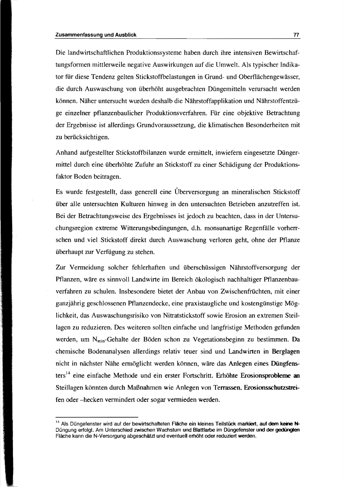Die landwirtschaftlichen Produktions systeme haben durch ihre intensiven Bewirtschaftungsformen mittlerweile negative Auswirkungen auf die Umwelt. Als typischer Indikator für diese Tendenz gelten Stickstoffbelastungen in Grund- und Oberflächengewässer, die durch Auswaschung von überhöht ausgebrachten Düngemitteln verursacht werden können. Näher untersucht wurden deshalb die Nährstoffapplikation und Nährstoffentzüge einzelner pflanzenbaulicher Produktionsverfahren. Für eine objektive Betrachtung der Ergebnisse ist allerdings Grundvoraussetzung, die klimatischen Besonderheiten mit zu berücksichtigen.

Anhand aufgestellter Stickstoffbilanzen wurde ermittelt, inwiefern eingesetzte Düngermittel durch eine überhöhte Zufuhr an Stickstoff zu einer Schädigung der Produktionsfaktor Boden beitragen.

Es wurde festgestellt, dass generell eine Überversorgung an mineralischen Stickstoff über alle untersuchten Kulturen hinweg in den untersuchten Betrieben anzutreffen ist. Bei der Betrachtungsweise des Ergebnisses ist jedoch zu beachten, dass in der Untersuchungsregion extreme Witterungsbedingungen, d.h. monsunartige Regenfälle vorherrschen und viel Stickstoff direkt durch Auswaschung verloren geht, ohne der Pflanze überhaupt zur Verfügung zu stehen.

Zur Vermeidung solcher fehlerhaften und überschüssigen Nährstoffversorgung der Pflanzen, wäre es sinnvoll Landwirte im Bereich ökologisch nachhaltiger Pflanzenbauverfahren zu schulen. Insbesondere bietet der Anbau von Zwischenfrüchten, mit einer ganzjährig geschlossenen Pflanzendecke, eine praxistaugliche und kostengünstige Möglichkeit, das Auswaschungsrisiko von Nitratstickstoff sowie Erosion an extremen Steillagen zu reduzieren. Des weiteren sollten einfache und langfristige Methoden gefunden werden, um N<sub>min</sub>-Gehalte der Böden schon zu Vegetationsbeginn zu bestimmen. Da chemische Bodenanalysen allerdings relativ teuer sind und Landwirten in Berglagen nicht in nächster Nähe ermöglicht werden können, wäre das Anlegen eines Düngfensters<sup>14</sup> eine einfache Methode und ein erster Fortschritt. Erhöhte Erosionsprobleme an Steillagen könnten durch Maßnahmen wie Anlegen von Terrassen. Erosionsschutzstreifen oder -hecken vermindert oder sogar vermieden werden.

<sup>&</sup>lt;sup>14</sup> Als Düngefenster wird auf der bewirtschafteten Fläche ein kleines Teilstück markiert, auf dem keine N-Düngung erfolgt. Am Unterschied zwischen Wachstum und Blattfarbe im Düngefenster und der gedüngten Fläche kann die N-Versorgung abgeschätzt und eventuell erhöht oder reduziert werden.